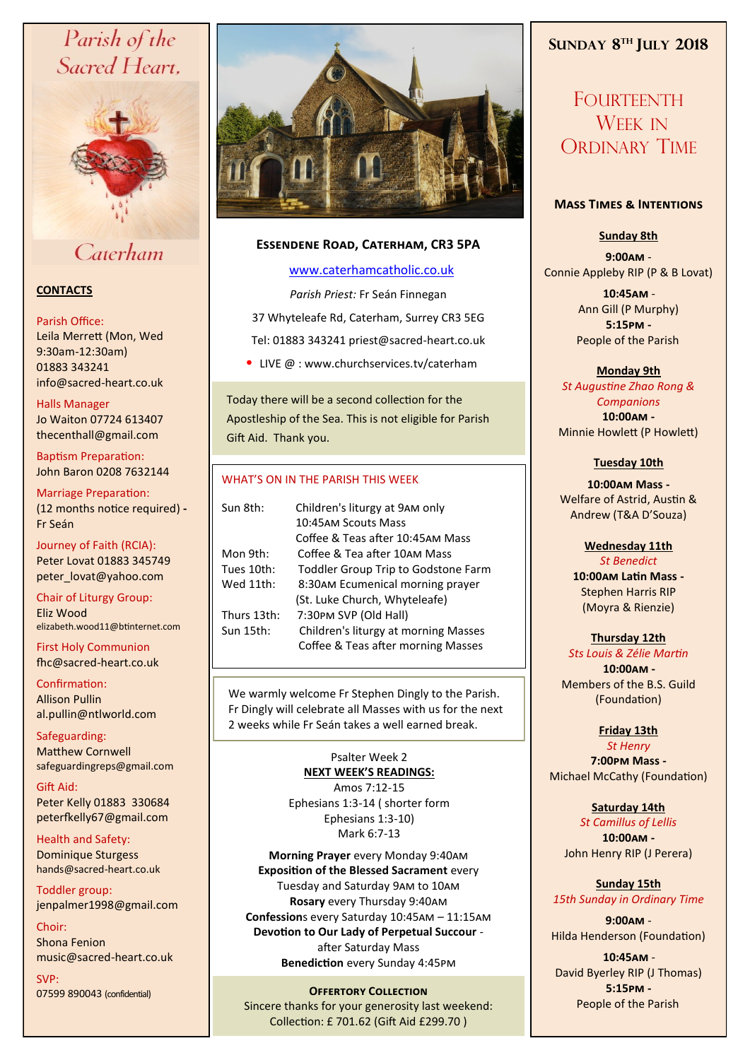# Parish of the Sacred Heart,



# Caterham

## **CONTACTS**

#### Parish Office:

Leila Merrett (Mon, Wed 9:30am-12:30am) 01883 343241 info@sacred-heart.co.uk .

#### Halls Manager

Jo Waiton 07724 613407 thecenthall@gmail.com

Baptism Preparation: John Baron 0208 7632144

Marriage Preparation: (12 months notice required) **-** Fr Seán

Journey of Faith (RCIA): Peter Lovat 01883 345749 peter\_lovat@yahoo.com

Chair of Liturgy Group: Eliz Wood elizabeth.wood11@btinternet.com

First Holy Communion fhc@sacred-heart.co.uk

Confirmation: Allison Pullin al.pullin@ntlworld.com

Safeguarding: Matthew Cornwell safeguardingreps@gmail.com

Gift Aid: Peter Kelly 01883 330684 peterfkelly67@gmail.com

Health and Safety: Dominique Sturgess hands@sacred-heart.co.uk

Toddler group: jenpalmer1998@gmail.com

Choir: Shona Fenion music@sacred-heart.co.uk

SVP: 07599 890043 (confidential)



### **Essendene Road, Caterham, CR3 5PA**

### [www.caterhamcatholic.co.uk](http://Www.caterhamcatholic.co.uk)

*Parish Priest:* Fr Seán Finnegan 37 Whyteleafe Rd, Caterham, Surrey CR3 5EG Tel: 01883 343241 priest@sacred-heart.co.uk

• LIVE  $@:www.churchservices.tv/caterham$ 

Today there will be a second collection for the Apostleship of the Sea. This is not eligible for Parish Gift Aid. Thank you.

#### WHAT'S ON IN THE PARISH THIS WEEK.

| Sun 8th:    | Children's liturgy at 9AM only<br>10:45AM Scouts Mass                      |
|-------------|----------------------------------------------------------------------------|
|             | Coffee & Teas after 10:45AM Mass                                           |
| Mon 9th:    | Coffee & Tea after 10AM Mass                                               |
| Tues 10th:  | Toddler Group Trip to Godstone Farm                                        |
| Wed 11th:   | 8:30AM Ecumenical morning prayer                                           |
|             | (St. Luke Church, Whyteleafe)                                              |
| Thurs 13th: | 7:30PM SVP (Old Hall)                                                      |
| Sun 15th:   | Children's liturgy at morning Masses<br>Coffee & Teas after morning Masses |
|             |                                                                            |

We warmly welcome Fr Stephen Dingly to the Parish. Fr Dingly will celebrate all Masses with us for the next 2 weeks while Fr Seán takes a well earned break.

> Psalter Week 2 **NEXT WEEK'S READINGS:**  Amos 7:12-15 Ephesians 1:3-14 ( shorter form Ephesians 1:3-10) Mark 6:7-13

**Morning Prayer** every Monday 9:40am **Exposition of the Blessed Sacrament** every Tuesday and Saturday 9am to 10am **Rosary** every Thursday 9:40am **Confession**s every Saturday 10:45am – 11:15am **Devotion to Our Lady of Perpetual Succour**  after Saturday Mass **Benediction** every Sunday 4:45pm

# **Offertory Collection**

Sincere thanks for your generosity last weekend: Collection: £ 701.62 (Gift Aid £299.70 )

# **SUNDAY 8 TH JULY 2018**

FOURTEENTH WEEK IN ORDINARY TIME

#### **Mass Times & Intentions**

## **Sunday 8th**

**9:00am** - Connie Appleby RIP (P & B Lovat)

> .**10:45am** - Ann Gill (P Murphy) **5:15pm -** People of the Parish.

> > **Monday 9th**

*St Augustine Zhao Rong & Companions* **10:00am -** Minnie Howlett (P Howlett)

#### **Tuesday 10th**

**10:00am Mass -** Welfare of Astrid, Austin & Andrew (T&A D'Souza)

#### **Wednesday 11th** *St Benedict*

**10:00am Latin Mass -** Stephen Harris RIP (Moyra & Rienzie)

# **Thursday 12th**

*Sts Louis & Zélie Martin* .**10:00am -** Members of the B.S. Guild (Foundation)

**Friday 13th** 

*St Henry* **7:00pm Mass -** Michael McCathy (Foundation)

#### **Saturday 14th**

*St Camillus of Lellis* **10:00am -**  John Henry RIP (J Perera)

**Sunday 15th** *15th Sunday in Ordinary Time*

**9:00am** - Hilda Henderson (Foundation)

.**10:45am** - David Byerley RIP (J Thomas) **5:15pm -** People of the Parish.